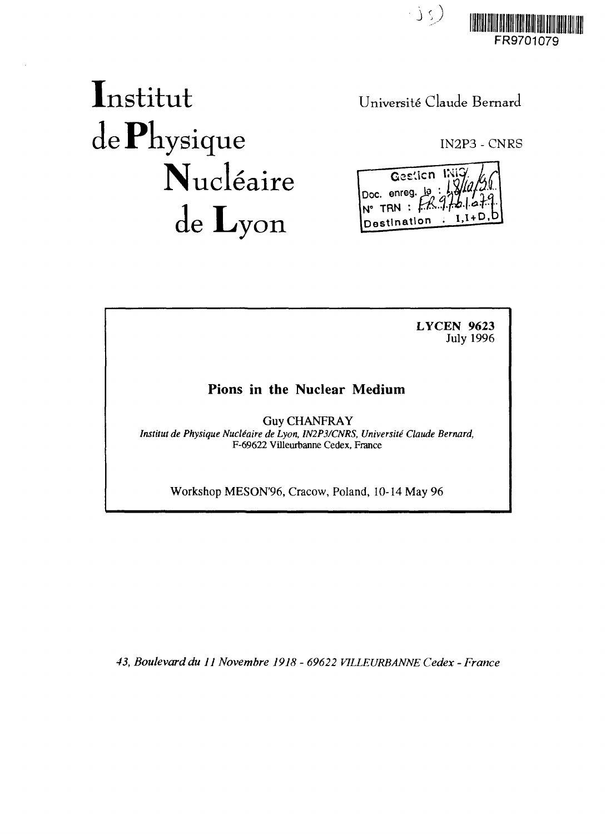

# Institut de Physique Nucléaire de Lyon

Universite Claude Bernard

IN2P3 - CNRS

Gestion Doc. enreg.  $\frac{10}{2}$  $N^{\circ}$  TRN :  $f$ Destination

**LYCEN 9623** July 1996

# Pions in the Nuclear Medium

Guy CHANFRAY *Institut de Physique NucUaire de Lyon, IN2P3/CNRS, Universite Claude Bernard,* F-69622 Villeurbanne Cedex, France

Workshop MESON'96, Cracow, Poland, 10-14 May 96

*43, Boulevard du 11 Novembre 1918 - 69622 VILLEURBANNE Cedex - France*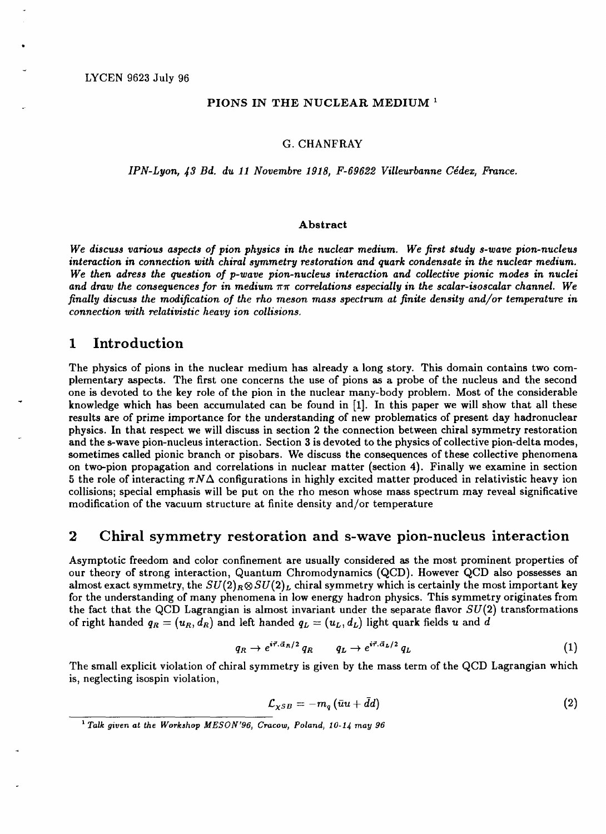#### **PIONS IN THE NUCLEAR MEDIUM<sup>1</sup>**

#### G.CHANFRAY

#### *IPN-Lyon, 43 Bd. du 11 Novembre 1918, F-69622 Villeurbanne Cedex, France.*

#### **Abstract**

*We discuss various aspects of pion physics in the nuclear medium. We first study s-wave pion-nucleus interaction in connection with chiral symmetry restoration and quark condensate in the nuclear medium. We then adress the question of p-wave pion-nucleus interaction and collective pionic modes in nuclei* and draw the consequences for in medium  $\pi\pi$  correlations especially in the scalar-isoscalar channel. We *finally discuss the modification of the rho meson mass spectrum at finite density and/or temperature in connection with relativistic heavy ion collisions.*

#### 1 Introduction

The physics of pions in the nuclear medium has already a long story. This domain contains two complementary aspects. The first one concerns the use of pions as a probe of the nucleus and the second one is devoted to the key role of the pion in the nuclear many-body problem. Most of the considerable knowledge which has been accumulated can be found in [1]. In this paper we will show that all these results are of prime importance for the understanding of new problematics of present day hadronuclear physics. In that respect we will discuss in section 2 the connection between chiral symmetry restoration and the s-wave pion-nucleus interaction. Section 3 is devoted to the physics of collective pion-delta modes, sometimes called pionic branch or pisobars. We discuss the consequences of these collective phenomena on two-pion propagation and correlations in nuclear matter (section 4). Finally we examine in section 5 the role of interacting  $\pi N\Delta$  configurations in highly excited matter produced in relativistic heavy ion collisions; special emphasis will be put on the rho meson whose mass spectrum may reveal significative modification of the vacuum structure at finite density and/or temperature

# 2 Chiral symmetry restoration and s-wave pion-nucleus interaction

Asymptotic freedom and color confinement are usually considered as the most prominent properties of our theory of strong interaction, Quantum Chromodynamics (QCD). However QCD also possesses an almost exact symmetry, the  $SU(2)_R \otimes SU(2)_L$  chiral symmetry which is certainly the most important key for the understanding of many phenomena in low energy hadron physics. This symmetry originates from the fact that the QCD Lagrangian is almost invariant under the separate flavor *SU(2)* transformations of right handed  $q_R = (u_R, d_R)$  and left handed  $q_L = (u_L, d_L)$  light quark fields u and d

$$
q_R \to e^{i\vec{\tau}.\vec{\alpha}_R/2} q_R \qquad q_L \to e^{i\vec{\tau}.\vec{\alpha}_L/2} q_L \tag{1}
$$

The small explicit violation of chiral symmetry is given by the mass term of the QCD Lagrangian which is, neglecting isospin violation,

$$
\mathcal{L}_{\chi SB} = -m_q \left( \bar{u}u + \bar{d}d \right) \tag{2}
$$

<sup>1</sup>  *Talk given at the Workshop MESON'96, Cracow, Poland, 10-14 may 96*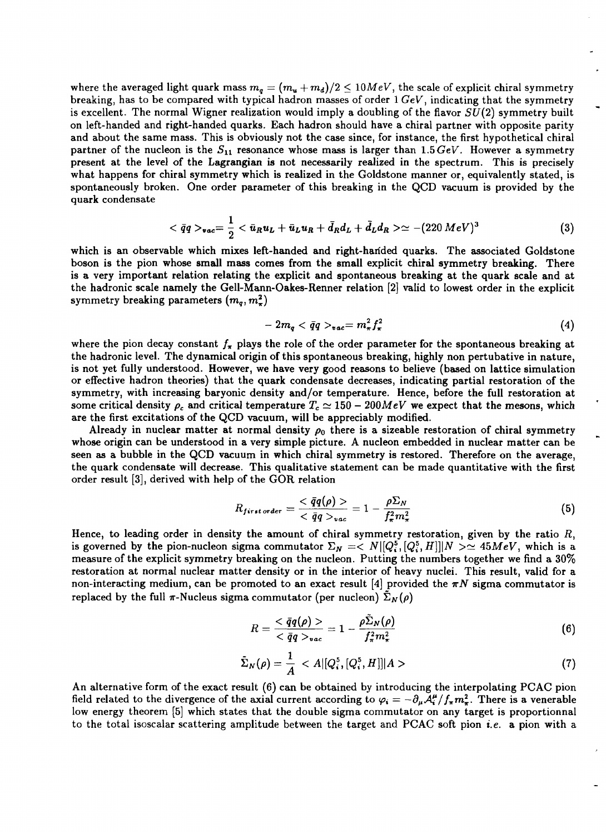where the averaged light quark mass  $m_q = (m_u + m_d)/2 \leq 10 MeV$ , the scale of explicit chiral symmetry breaking, has to be compared with typical hadron masses of order 1 *GeV,* indicating that the symmetry is excellent. The normal Wigner realization would imply a doubling of the flavor *SU(2)* symmetry built on left-handed and right-handed quarks. Each hadron should have a chiral partner with opposite parity and about the same mass. This is obviously not the case since, for instance, the first hypothetical chiral partner of the nucleon is the  $S_{11}$  resonance whose mass is larger than  $1.5 \, GeV$ . However a symmetry present at the level of the Lagrangian is not necessarily realized in the spectrum. This is precisely what happens for chiral symmetry which is realized in the Goldstone manner or, equivalently stated, is spontaneously broken. One order parameter of this breaking in the QCD vacuum is provided by the quark condensate

$$
\langle \bar{q}q \rangle_{vac} = \frac{1}{2} \langle \bar{u}_R u_L + \bar{u}_L u_R + \bar{d}_R d_L + \bar{d}_L d_R \rangle \simeq -(220 \, MeV)^3 \tag{3}
$$

which is an observable which mixes left-handed and right-handed quarks. The associated Goldstone boson is the pion whose small mass comes from the small explicit chiral symmetry breaking. There is a very important relation relating the explicit and spontaneous breaking at the quark scale and at the hadronic scale namely the Gell-Mann-Oakes-Renner relation [2] valid to lowest order in the explicit symmetry breaking parameters  $(m_q, m_\pi^2)$ 

$$
-2m_q < \bar{q}q >_{vac} = m_\pi^2 f_\pi^2 \tag{4}
$$

where the pion decay constant  $f_{\pi}$  plays the role of the order parameter for the spontaneous breaking at the hadronic level. The dynamical origin of this spontaneous breaking, highly non pertubative in nature, is not yet fully understood. However, we have very good reasons to believe (based on lattice simulation or effective hadron theories) that the quark condensate decreases, indicating partial restoration of the symmetry, with increasing baryonic density and/or temperature. Hence, before the full restoration at some critical density  $\rho_c$  and critical temperature  $T_c \simeq 150 - 200 MeV$  we expect that the mesons, which are the first excitations of the QCD vacuum, will be appreciably modified.

Already in nuclear matter at normal density  $\rho_0$  there is a sizeable restoration of chiral symmetry whose origin can be understood in a very simple picture. A nucleon embedded in nuclear matter can be seen as a bubble in the QCD vacuum in which chiral symmetry is restored. Therefore on the average, the quark condensate will decrease. This qualitative statement can be made quantitative with the first order result [3], derived with help of the GOR relation

$$
R_{first\,order} = \frac{<\bar{q}q(\rho)>}{<\bar{q}q>_{vac}} = 1 - \frac{\rho \Sigma_N}{f_\pi^2 m_\pi^2}
$$
\n
$$
(5)
$$

Hence, to leading order in density the amount of chiral symmetry restoration, given by the ratio *R,* is governed by the pion-nucleon sigma commutator  $\Sigma_N = \langle N | [Q_i^5, [Q_i^5, H]] | N \rangle \sim 45 MeV$ , which is a measure of the explicit symmetry breaking on the nucleon. Putting the numbers together we find a 30% restoration at normal nuclear matter density or in the interior of heavy nuclei. This result, valid for a non-interacting medium, can be promoted to an exact result [4] provided the  $\pi N$  sigma commutator is replaced by the full  $\pi$ -Nucleus sigma commutator (per nucleon)  $\Sigma_N(\rho)$ 

$$
R = \frac{\langle \bar{q}q(\rho) \rangle}{\langle \bar{q}q \rangle_{vac}} = 1 - \frac{\rho \bar{\Sigma}_N(\rho)}{f_\pi^2 m_\pi^2} \tag{6}
$$

$$
\tilde{\Sigma}_N(\rho) = \frac{1}{A} < A \left[ \left[ Q_i^5, \left[ Q_i^5, H \right] \right] \right] A > \tag{7}
$$

An alternative form of the exact result (6) can be obtained by introducing the interpolating PCAC pion field related to the divergence of the axial current according to  $\varphi_i = -\partial_\mu A^\mu_i/f_\pi m^2$ . There is a venerable low energy theorem [5] which states that the double sigma commutator on any target is proportionnal to the total isoscalar scattering amplitude between the target and PCAC soft pion *i.e.* a pion with a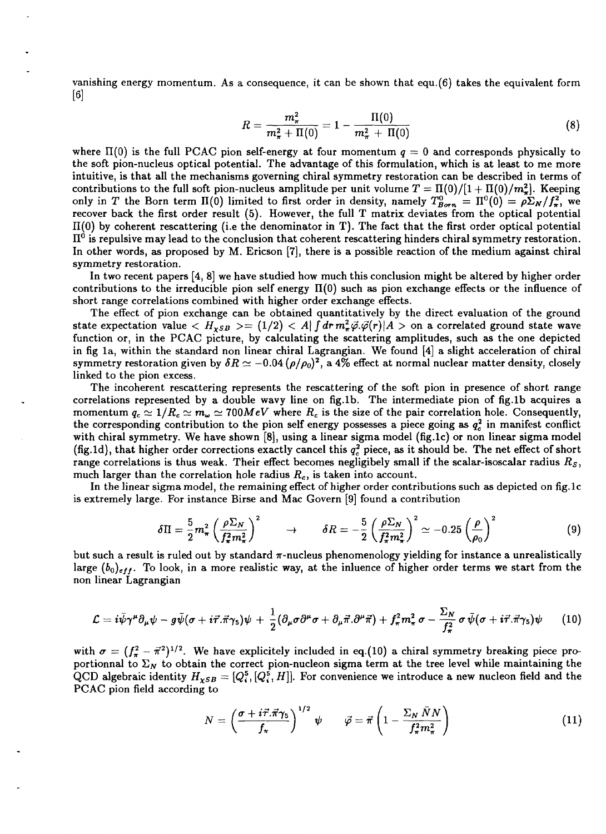vanishing energy momentum. As a consequence, it can be shown that equ.(6) takes the equivalent form [6]

$$
R = \frac{m_{\pi}^2}{m_{\pi}^2 + \Pi(0)} = 1 - \frac{\Pi(0)}{m_{\pi}^2 + \Pi(0)}
$$
(8)

where  $\Pi(0)$  is the full PCAC pion self-energy at four momentum  $q = 0$  and corresponds physically to the soft pion-nucleus optical potential. The advantage of this formulation, which is at least to me more intuitive, is that all the mechanisms governing chiral symmetry restoration can be described in terms of contributions to the full soft pion-nucleus amplitude per unit volume  $T = \Pi(0)/[1 + \Pi(0)/m_{\pi}^2]$ . Keeping only in *T* the Born term  $\Pi(0)$  limited to first order in density, namely  $T_{Born}^0 = \Pi^0(0) = \rho \Sigma_N / f_\pi^2$ , we recover back the first order result (5). However, the full T matrix deviates from the optical potential  $\Pi(0)$  by coherent rescattering (i.e the denominator in T). The fact that the first order optical potential  $\Pi^0$  is repulsive may lead to the conclusion that coherent rescattering hinders chiral symmetry restoration. In other words, as proposed by M. Ericson [7], there is a possible reaction of the medium against chiral symmetry restoration.

In two recent papers [4, 8] we have studied how much this conclusion might be altered by higher order contributions to the irreducible pion self energy  $\Pi(0)$  such as pion exchange effects or the influence of short range correlations combined with higher order exchange effects.

The effect of pion exchange can be obtained quantitatively by the direct evaluation of the ground state expectation value  $\langle H_{\chi SB} \rangle = (1/2) \langle A| \int dr m_{\pi}^2 \vec{\varphi} . \vec{\varphi}(r) | A \rangle$  on a correlated ground state wave function or, in the PCAC picture, by calculating the scattering amplitudes, such as the one depicted in fig la, within the standard non linear chiral Lagrangian. We found [4] a slight acceleration of chiral symmetry restoration given by  $\delta R \simeq -0.04$  ( $\rho/\rho_0$ )<sup>2</sup>, a 4% effect at normal nuclear matter density, closely linked to the pion excess.

The incoherent rescattering represents the rescattering of the soft pion in presence of short range correlations represented by a double wavy line on fig.lb. The intermediate pion of fig.lb acquires a momentum  $q_c \simeq 1/R_c \simeq m_\omega \simeq 700 MeV$  where  $R_c$  is the size of the pair correlation hole. Consequently, the corresponding contribution to the pion self energy possesses a piece going as  $q_c^2$  in manifest conflict with chiral symmetry. We have shown [8], using a linear sigma model (fig.lc) or non linear sigma model (fig.1d), that higher order corrections exactly cancel this  $q_c^2$  piece, as it should be. The net effect of short range correlations is thus weak. Their effect becomes negligibely small if the scalar-isoscalar radius *R<sup>s</sup> ,* much larger than the correlation hole radius *Rc,* is taken into account.

In the linear sigma model, the remaining effect of higher order contributions such as depicted on fig.lc is extremely large. For instance Birse and Mac Govern [9] found a contribution

$$
\delta\Pi = \frac{5}{2}m_{\pi}^2 \left(\frac{\rho \Sigma_N}{f_{\pi}^2 m_{\pi}^2}\right)^2 \qquad \rightarrow \qquad \delta R = -\frac{5}{2} \left(\frac{\rho \Sigma_N}{f_{\pi}^2 m_{\pi}^2}\right)^2 \simeq -0.25 \left(\frac{\rho}{\rho_0}\right)^2 \tag{9}
$$

but such a result is ruled out by standard  $\pi$ -nucleus phenomenology yielding for instance a unrealistically large  $(b_0)_{eff}$ . To look, in a more realistic way, at the inluence of higher order terms we start from the non linear Lagrangian

$$
\mathcal{L}=i\bar{\psi}\gamma^{\mu}\partial_{\mu}\psi-g\bar{\psi}(\sigma+i\vec{\tau}\cdot\vec{\pi}\gamma_{5})\psi+\frac{1}{2}(\partial_{\mu}\sigma\partial^{\mu}\sigma+\partial_{\mu}\vec{\pi}\cdot\partial^{\mu}\vec{\pi})+f_{\pi}^{2}m_{\pi}^{2}\sigma-\frac{\Sigma_{N}}{f_{\pi}^{2}}\sigma\bar{\psi}(\sigma+i\vec{\tau}\cdot\vec{\pi}\gamma_{5})\psi
$$
 (10)

with  $\sigma = (f_{\pi}^2 - \bar{\pi}^2)^{1/2}$ . We have explicitely included in eq.(10) a chiral symmetry breaking piece proportionnal to  $\Sigma_N$  to obtain the correct pion-nucleon sigma term at the tree level while maintaining the QCD algebraic identity  $H_{\chi SB} = [Q_i^5, [Q_i^5, H]]$ . For convenience we introduce a new nucleon field and the PCAC pion field according to

$$
N = \left(\frac{\sigma + i\vec{\tau}.\vec{\pi}\gamma_5}{f_\pi}\right)^{1/2} \psi \qquad \vec{\varphi} = \vec{\pi} \left(1 - \frac{\Sigma_N \bar{N}N}{f_\pi^2 m_\pi^2}\right) \tag{11}
$$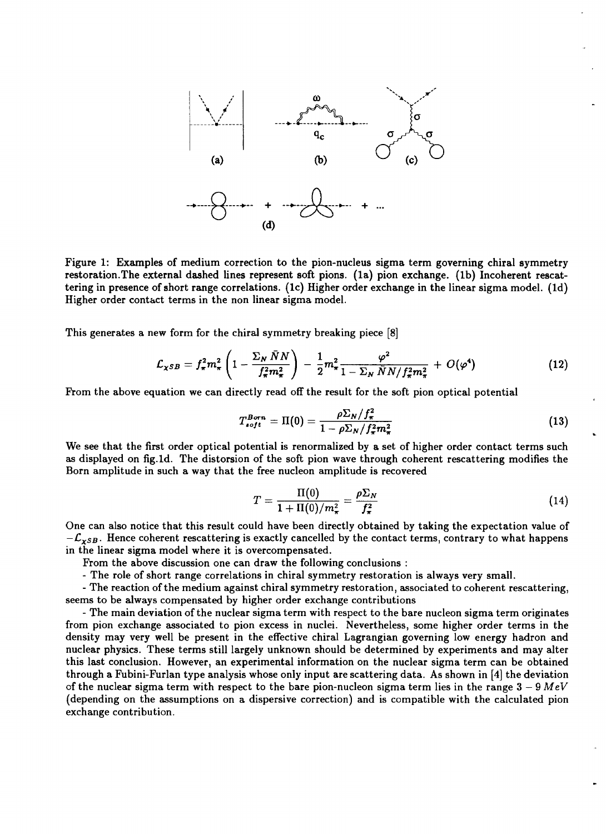

Figure 1: Examples of medium correction to the pion-nucleus sigma term governing chiral symmetry restoration.The external dashed lines represent soft pions. (la) pion exchange, (lb) Incoherent rescattering in presence of short range correlations, (lc) Higher order exchange in the linear sigma model. (Id) Higher order contact terms in the non linear sigma model.

This generates a new form for the chiral symmetry breaking piece [8]

$$
\mathcal{L}_{\chi SB} = f_{\pi}^2 m_{\pi}^2 \left( 1 - \frac{\Sigma_N \bar{N} N}{f_{\pi}^2 m_{\pi}^2} \right) - \frac{1}{2} m_{\pi}^2 \frac{\varphi^2}{1 - \Sigma_N \bar{N} N / f_{\pi}^2 m_{\pi}^2} + O(\varphi^4)
$$
(12)

From the above equation we can directly read off the result for the soft pion optical potential

$$
T_{soft}^{Born} = \Pi(0) = \frac{\rho \Sigma_N / f_{\pi}^2}{1 - \rho \Sigma_N / f_{\pi}^2 m_{\pi}^2}
$$
(13)

We see that the first order optical potential is renormalized by a set of higher order contact terms such as displayed on fig.Id. The distorsion of the soft pion wave through coherent rescattering modifies the Born amplitude in such a way that the free nucleon amplitude is recovered

$$
T = \frac{\Pi(0)}{1 + \Pi(0)/m_{\pi}^2} = \frac{\rho \Sigma_N}{f_{\pi}^2}
$$
 (14)

One can also notice that this result could have been directly obtained by taking the expectation value of  $-\mathcal{L}_{\chi SB}$ . Hence coherent rescattering is exactly cancelled by the contact terms, contrary to what happens in the linear sigma model where it is overcompensated.

From the above discussion one can draw the following conclusions :

- The role of short range correlations in chiral symmetry restoration is always very small.

- The reaction of the medium against chiral symmetry restoration, associated to coherent rescattering, seems to be always compensated by higher order exchange contributions

- The main deviation of the nuclear sigma term with respect to the bare nucleon sigma term originates from pion exchange associated to pion excess in nuclei. Nevertheless, some higher order terms in the density may very well be present in the effective chiral Lagrangian governing low energy hadron and nuclear physics. These terms still largely unknown should be determined by experiments and may alter this last conclusion. However, an experimental information on the nuclear sigma term can be obtained through a Fubini-Furlan type analysis whose only input are scattering data. As shown in [4] the deviation of the nuclear sigma term with respect to the bare pion-nucleon sigma term lies in the range  $3 - 9$  MeV (depending on the assumptions on a dispersive correction) and is compatible with the calculated pion exchange contribution.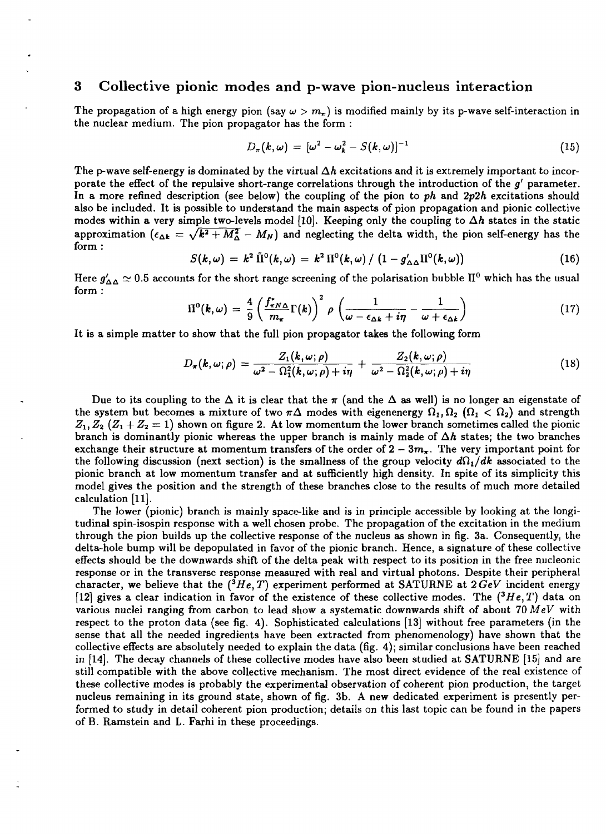## 3 Collective pionic modes and p-wave pion-nucleus interaction

The propagation of a high energy pion (say  $\omega > m_{\pi}$ ) is modified mainly by its p-wave self-interaction in the nuclear medium. The pion propagator has the form :

$$
D_{\pi}(k,\omega) = [\omega^2 - \omega_k^2 - S(k,\omega)]^{-1} \qquad (15)
$$

The p-wave self-energy is dominated by the virtual  $\Delta h$  excitations and it is extremely important to incorporate the effect of the repulsive short-range correlations through the introduction of the *g'* parameter. In a more refined description (see below) the coupling of the pion to *ph* and *2p2h* excitations should also be included. It is possible to understand the main aspects of pion propagation and pionic collective modes within a very simple two-levels model [10]. Keeping only the coupling to  $\Delta h$  states in the static approximation  $(\epsilon_{\Delta k} = \sqrt{k^2 + M_{\Delta}^2} - M_N)$  and neglecting the delta width, the pion self-energy has the form :

$$
S(k,\omega) = k^2 \tilde{\Pi}^0(k,\omega) = k^2 \Pi^0(k,\omega) / (1 - g'_{\Delta \Delta} \Pi^0(k,\omega))
$$
 (16)

Here  $g'_{\Delta \Delta}\simeq 0.5$  accounts for the short range screening of the pol<mark>arisat</mark>ion bubble  $\Pi^0$  which has the usual form :

$$
\Pi^{0}(\boldsymbol{k},\omega)=\frac{4}{9}\left(\frac{f_{\pi N\Delta}^{*}}{m_{\pi}}\Gamma(\boldsymbol{k})\right)^{2}\rho\left(\frac{1}{\omega-\epsilon_{\Delta\boldsymbol{k}}+i\eta}-\frac{1}{\omega+\epsilon_{\Delta\boldsymbol{k}}}\right) \tag{17}
$$

It is a simple matter to show that the full pion propagator takes the following form

$$
D_{\pi}(k,\omega;\rho)=\frac{Z_1(k,\omega;\rho)}{\omega^2-\Omega_1^2(k,\omega;\rho)+i\eta}+\frac{Z_2(k,\omega;\rho)}{\omega^2-\Omega_2^2(k,\omega;\rho)+i\eta}
$$
(18)

Due to its coupling to the  $\Delta$  it is clear that the  $\pi$  (and the  $\Delta$  as well) is no longer an eigenstate of the system but becomes a mixture of two  $\pi\Delta$  modes with eigenenergy  $\Omega_1, \Omega_2$  ( $\Omega_1 < \Omega_2$ ) and strength  $Z_1, Z_2$  ( $Z_1 + Z_2 = 1$ ) shown on figure 2. At low momentum the lower branch sometimes called the pionic branch is dominantly pionic whereas the upper branch is mainly made of  $\Delta h$  states; the two branches exchange their structure at momentum transfers of the order of  $2-3m<sub>\pi</sub>$ . The very important point for the following discussion (next section) is the smallness of the group velocity  $d\Omega_1/dk$  associated to the pionic branch at low momentum transfer and at sufficiently high density. In spite of its simplicity this model gives the position and the strength of these branches close to the results of much more detailed calculation [11].

The lower (pionic) branch is mainly space-like and is in principle accessible by looking at the longitudinal spin-isospin response with a well chosen probe. The propagation of the excitation in the medium through the pion builds up the collective response of the nucleus as shown in fig. 3a. Consequently, the delta-hole bump will be depopulated in favor of the pionic branch. Hence, a signature of these collective effects should be the downwards shift of the delta peak with respect to its position in the free nucleonic response or in the transverse response measured with real and virtual photons. Despite their peripheral character, we believe that the  $(^3He, T)$  experiment performed at SATURNE at  $2 GeV$  incident energy [12] gives a clear indication in favor of the existence of these collective modes. The *(<sup>3</sup>He,T)* data on various nuclei ranging from carbon to lead show a systematic downwards shift of about 70 *MeV* with respect to the proton data (see fig. 4). Sophisticated calculations [13] without free parameters (in the sense that all the needed ingredients have been extracted from phenomenology) have shown that the collective effects are absolutely needed to explain the data (fig. 4); similar conclusions have been reached in [14]. The decay channels of these collective modes have also been studied at SATURNE [15] and are still compatible with the above collective mechanism. The most direct evidence of the real existence of these collective modes is probably the experimental observation of coherent pion production, the target nucleus remaining in its ground state, shown of fig. 3b. A new dedicated experiment is presently performed to study in detail coherent pion production; details on this last topic can be found in the papers of B. Ramstein and L. Farhi in these proceedings.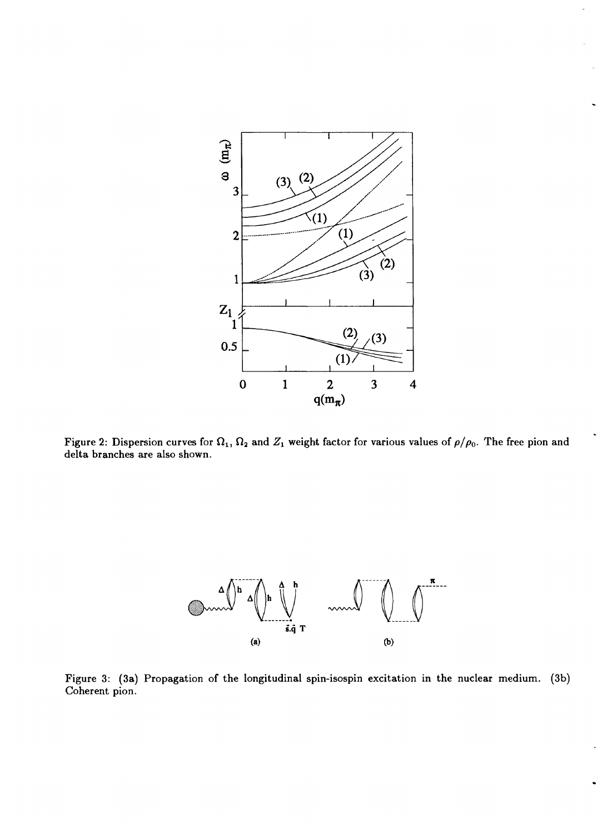

Figure 2: Dispersion curves for  $\Omega_1,\,\Omega_2$  and  $Z_1$  weight factor for various values of  $\rho/\rho_0.$  The free pion and delta branches are also shown.



Figure 3: (3a) Propagation of the longitudinal spin-isospin excitation in the nuclear medium. (3b) Coherent pion.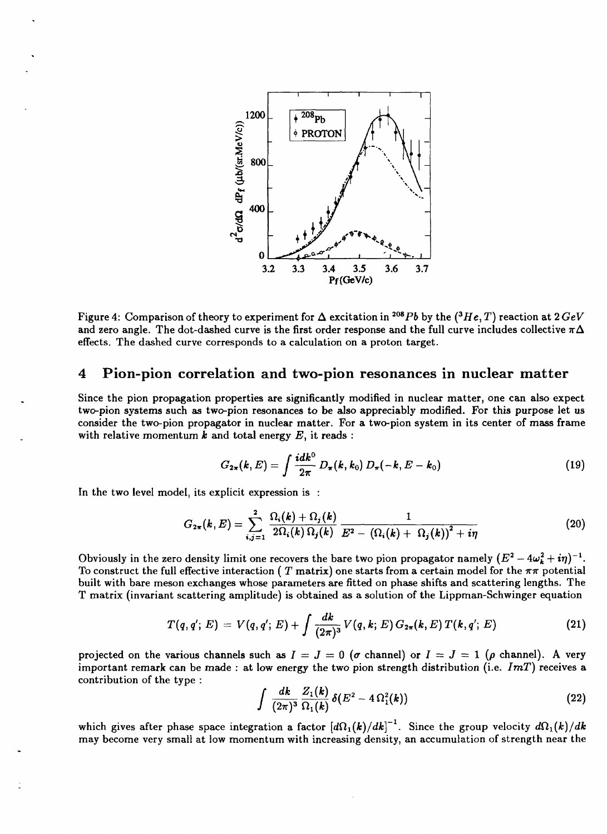

Figure 4: Comparison of theory to experiment for  $\Delta$  excitation in <sup>208</sup> $Pb$  by the (<sup>3</sup> $He,T)$  reaction at 2  $GeV$ and zero angle. The dot-dashed curve is the first order response and the full curve includes collective  $\pi\Delta$ effects. The dashed curve corresponds to a calculation on a proton target.

#### 4 Pion-pion correlation and two-pion resonances in nuclear matter

Since the pion propagation properties are significantly modified in nuclear matter, one can also expect two-pion systems such as two-pion resonances to be also appreciably modified. For this purpose let us consider the two-pion propagator in nuclear matter. For a two-pion system in its center of mass frame with relative momentum *k* and total energy *E,* it reads :

$$
G_{2\pi}(k,E) = \int \frac{i dk^0}{2\pi} D_{\pi}(k,k_0) D_{\pi}(-k,E-k_0)
$$
 (19)

In the two level model, its explicit expression is :

$$
G_{2\pi}(k,E) = \sum_{i,j=1}^{2} \frac{\Omega_i(k) + \Omega_j(k)}{2\Omega_i(k)\Omega_j(k)} \frac{1}{E^2 - (\Omega_i(k) + \Omega_j(k))^2 + i\eta}
$$
(20)

Obviously in the zero density limit one recovers the bare two pion propagator namely  $(E^2-4\omega_{\bm{k}}^2+\bm{i}\eta)^{-1}.$ To construct the full effective interaction ( T matrix) one starts from a certain model for the  $\pi\pi$  potential built with bare meson exchanges whose parameters are fitted on phase shifts and scattering lengths. The T matrix (invariant scattering amplitude) is obtained as a solution of the Lippman-Schwinger equation

$$
T(q,q';E) = V(q,q';E) + \int \frac{dk}{(2\pi)^3} V(q,k;E) G_{2\pi}(k,E) T(k,q';E)
$$
 (21)

projected on the various channels such as  $I = J = 0$  ( $\sigma$  channel) or  $I = J = 1$  ( $\rho$  channel). A very important remark can be made : at low energy the two pion strength distribution (i.e. *ImT)* receives a contribution of the type :

$$
\int \frac{dk}{(2\pi)^3} \frac{Z_1(k)}{\Omega_1(k)} \delta(E^2 - 4\Omega_1^2(k)) \tag{22}
$$

which gives after phase space integration a factor  $\left[\frac{d\Omega_1(k)}{dk}\right]^{-1}$ . Since the group velocity  $\frac{d\Omega_1(k)}{dk}$ may become very small at low momentum with increasing density, an accumulation of strength near the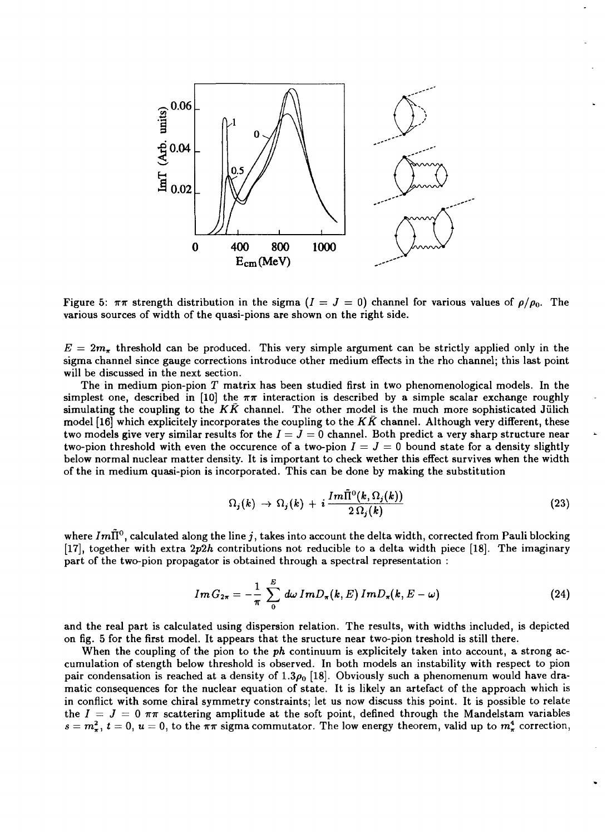

Figure 5:  $\pi\pi$  strength distribution in the sigma ( $I = J = 0$ ) channel for various values of  $\rho/\rho_0$ . The various sources of width of the quasi-pions are shown on the right side.

 $E = 2m<sub>\pi</sub>$  threshold can be produced. This very simple argument can be strictly applied only in the sigma channel since gauge corrections introduce other medium effects in the rho channel; this last point will be discussed in the next section.

The in medium pion-pion *T* matrix has been studied first in two phenomenological models. In the simplest one, described in [10] the  $\pi\pi$  interaction is described by a simple scalar exchange roughly simulating the coupling to the  $K\bar{K}$  channel. The other model is the much more sophisticated Jülich model [16] which explicitely incorporates the coupling to the *KK* channel. Although very different, these two models give very similar results for the  $I = J = 0$  channel. Both predict a very sharp structure near two-pion threshold with even the occurence of a two-pion  $I = J = 0$  bound state for a density slightly below normal nuclear matter density. It is important to check wether this effect survives when the width of the in medium quasi-pion is incorporated. This can be done by making the substitution

$$
\Omega_j(k) \to \Omega_j(k) + i \frac{Im \tilde{\Pi}^0(k, \Omega_j(k))}{2 \Omega_j(k)}
$$
\n(23)

where  $Im\tilde{\Pi}^0,$  calculated along the line  $j,$  takes into account the delta width, corrected from Pauli blocking [17], together with extra *2p2h* contributions not reducible to a delta width piece [18]. The imaginary part of the two-pion propagator is obtained through a spectral representation :

$$
Im G_{2\pi} = -\frac{1}{\pi} \sum_{0}^{E} d\omega Im D_{\pi}(k, E) Im D_{\pi}(k, E - \omega)
$$
 (24)

and the real part is calculated using dispersion relation. The results, with widths included, is depicted on fig. 5 for the first model. It appears that the sructure near two-pion treshold is still there.

When the coupling of the pion to the *ph* continuum is explicitely taken into account, a strong accumulation of stength below threshold is observed. In both models an instability with respect to pion pair condensation is reached at a density of 1.3 $\rho_0$  [18]. Obviously such a phenomenum would have dramatic consequences for the nuclear equation of state. It is likely an artefact of the approach which is in conflict with some chiral symmetry constraints; let us now discuss this point. It is possible to relate the  $I = J = 0 \pi \pi$  scattering amplitude at the soft point, defined through the Mandelstam variables  $s = m_{\pi}^2$ ,  $t = 0$ ,  $u = 0$ , to the  $\pi \pi$  sigma commutator. The low energy theorem, valid up to  $m_{\pi}^4$  correction,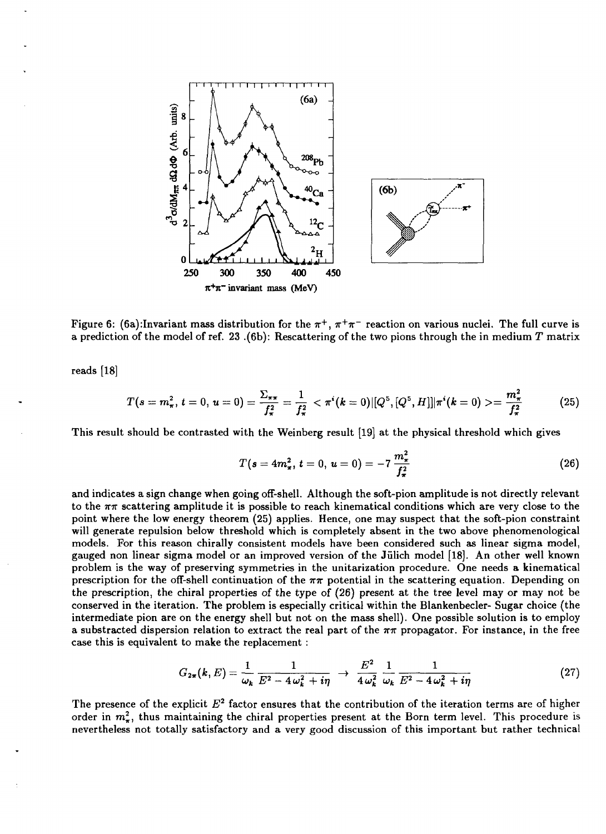

Figure 6: (6a):Invariant mass distribution for the  $\pi^+,\,\pi^+\pi^-$  reaction on various nuclei. The full curve is a prediction of the model of ref. 23 ,(6b): Rescattering of the two pions through the in medium *T* matrix

reads [18]

$$
T(s=m_{\pi}^2, t=0, u=0)=\frac{\Sigma_{\pi\pi}}{f_{\pi}^2}=\frac{1}{f_{\pi}^2}<\pi^i(k=0)[[Q^5, [Q^5, H]]]\pi^i(k=0)>=\frac{m_{\pi}^2}{f_{\pi}^2}
$$
(25)

This result should be contrasted with the Weinberg result [19] at the physical threshold which gives

$$
T(s=4m_{\pi}^2, t=0, u=0)=-7\frac{m_{\pi}^2}{f_{\pi}^2}
$$
 (26)

and indicates a sign change when going off-shell. Although the soft-pion amplitude is not directly relevant to the  $\pi\pi$  scattering amplitude it is possible to reach kinematical conditions which are very close to the point where the low energy theorem (25) applies. Hence, one may suspect that the soft-pion constraint will generate repulsion below threshold which is completely absent in the two above phenomenological models. For this reason chirally consistent models have been considered such as linear sigma model, gauged non linear sigma model or an improved version of the Julich model [18]. An other well known problem is the way of preserving symmetries in the unitarization procedure. One needs a kinematical prescription for the off-shell continuation of the  $\pi\pi$  potential in the scattering equation. Depending on the prescription, the chiral properties of the type of (26) present at the tree level may or may not be conserved in the iteration. The problem is especially critical within the Blankenbecler- Sugar choice (the intermediate pion are on the energy shell but not on the mass shell). One possible solution is to employ a substracted dispersion relation to extract the real part of the *mr* propagator. For instance, in the free case this is equivalent to make the replacement :

$$
G_{2\pi}(k,E) = \frac{1}{\omega_k} \frac{1}{E^2 - 4\omega_k^2 + i\eta} \rightarrow \frac{E^2}{4\omega_k^2} \frac{1}{\omega_k} \frac{1}{E^2 - 4\omega_k^2 + i\eta}
$$
(27)

The presence of the explicit  $E^2$  factor ensures that the contribution of the iteration terms are of higher order in  $m_{\pi}^2$ , thus maintaining the chiral properties present at the Born term level. This procedure is nevertheless not totally satisfactory and a very good discussion of this important but rather technical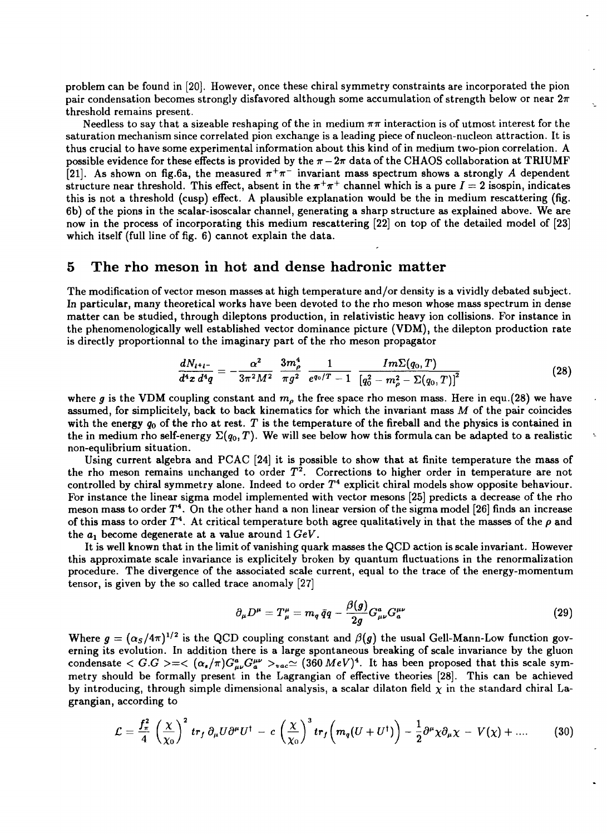problem can be found in [20]. However, once these chiral symmetry constraints are incorporated the pion pair condensation becomes strongly disfavored although some accumulation of strength below or near *2n* threshold remains present.

Needless to say that a sizeable reshaping of the in medium  $\pi\pi$  interaction is of utmost interest for the saturation mechanism since correlated pion exchange is a leading piece of nucleon-nucleon attraction. It is thus crucial to have some experimental information about this kind of in medium two-pion correlation. A possible evidence for these effects is provided by the  $\pi-2\pi$  data of the CHAOS collaboration at TRIUMF [21]. As shown on fig.6a, the measured  $\pi^{+}\pi^{-}$  invariant mass spectrum shows a strongly A dependent structure near threshold. This effect, absent in the  $\pi^+\pi^+$  channel which is a pure  $I=2$  isospin, indicates this is not a threshold (cusp) effect. A plausible explanation would be the in medium rescattering (fig. 6b) of the pions in the scalar-isoscalar channel, generating a sharp structure as explained above. We are now in the process of incorporating this medium rescattering [22] on top of the detailed model of [23] which itself (full line of fig. 6) cannot explain the data.

## 5 The rho meson in hot and dense hadronic matter

The modification of vector meson masses at high temperature and/or density is a vividly debated subject. In particular, many theoretical works have been devoted to the rho meson whose mass spectrum in dense matter can be studied, through dileptons production, in relativistic heavy ion collisions. For instance in the phenomenologically well established vector dominance picture (VDM), the dilepton production rate is directly proportionnal to the imaginary part of the rho meson propagator

$$
\frac{dN_{l^+l^-}}{d^4x\,d^4q}=-\frac{\alpha^2}{3\pi^2M^2}\,\,\frac{3m_\rho^4}{\pi g^2}\,\,\frac{1}{e^{q_0/T}-1}\,\,\frac{Im\Sigma(q_0,T)}{\left[q_0^2-m_\rho^2-\Sigma(q_0,T)\right]^2}\qquad \qquad (28)
$$

where g is the VDM coupling constant and  $m_\rho$  the free space rho meson mass. Here in equ.(28) we have assumed, for simplicitely, back to back kinematics for which the invariant mass *M* of the pair coincides with the energy *q0* of the rho at rest. *T* is the temperature of the fireball and the physics is contained in the in medium rho self-energy  $\Sigma(q_0,T)$ . We will see below how this formula can be adapted to a realistic non-equlibrium situation.

Using current algebra and PCAC [24] it is possible to show that at finite temperature the mass of the rho meson remains unchanged to order  $T^2$ . Corrections to higher order in temperature are not controlled by chiral symmetry alone. Indeed to order  $T^4$  explicit chiral models show opposite behaviour. For instance the linear sigma model implemented with vector mesons [25] predicts a decrease of the rho meson mass to order  $T^4$ . On the other hand a non linear version of the sigma model [26] finds an increase of this mass to order  $T^4$ . At critical temperature both agree qualitatively in that the masses of the  $\rho$  and the  $a_1$  become degenerate at a value around  $1 \, GeV$ .

It is well known that in the limit of vanishing quark masses the QCD action is scale invariant. However this approximate scale invariance is explicitely broken by quantum fluctuations in the renormalization procedure. The divergence of the associated scale current, equal to the trace of the energy-momentum tensor, is given by the so called trace anomaly [27]

$$
\partial_{\mu}D^{\mu} = T^{\mu}_{\mu} = m_q \,\bar{q}q - \frac{\beta(g)}{2g}G^a_{\mu\nu}G^{\mu\nu}_a \tag{29}
$$

Where  $g = (\alpha_S/4\pi)^{1/2}$  is the QCD coupling constant and  $\beta(g)$  the usual Gell-Mann-Low function governing its evolution. In addition there is a large spontaneous breaking of scale invariance by the gluon condensate  $\langle G.G \rangle = \langle (\alpha_s/\pi)G^a_{\mu\nu}G_a^{\mu\nu} \rangle_{vac} \simeq (360 \, MeV)^4$ . It has been proposed that this scale symmetry should be formally present in the Lagrangian of effective theories [28]. This can be achieved by introducing, through simple dimensional analysis, a scalar dilaton field  $\chi$  in the standard chiral Lagrangian, according to

$$
\mathcal{L} = \frac{f_{\pi}^2}{4} \left( \frac{\chi}{\chi_0} \right)^2 tr_f \, \partial_{\mu} U \partial^{\mu} U^{\dagger} - c \left( \frac{\chi}{\chi_0} \right)^3 tr_f \left( m_q (U + U^{\dagger}) \right) - \frac{1}{2} \partial^{\mu} \chi \partial_{\mu} \chi - V(\chi) + \dots \qquad (30)
$$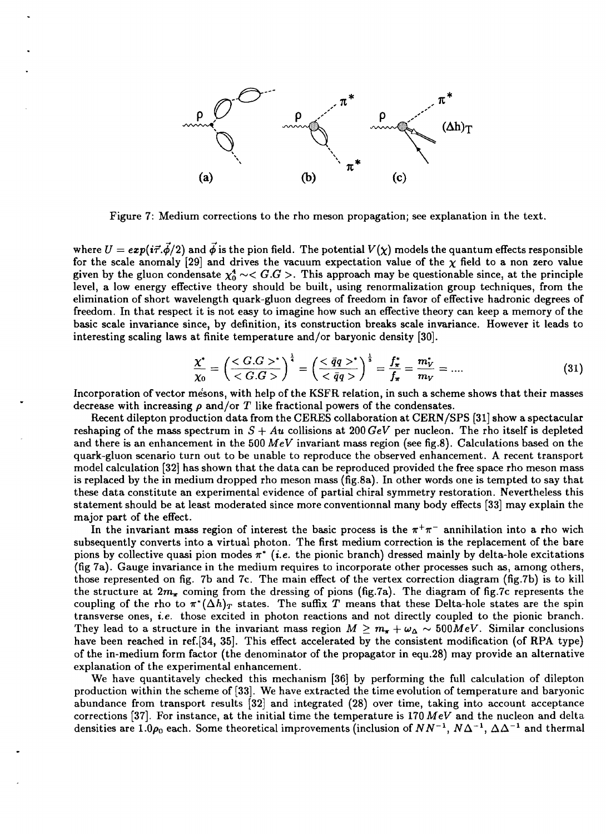

Figure 7: Medium corrections to the rho meson propagation; see explanation in the text.

where  $U = exp(i\vec{\tau} \cdot \vec{\phi}/2)$  and  $\vec{\phi}$  is the pion field. The potential  $V(\chi)$  models the quantum effects responsible for the scale anomaly [29] and drives the vacuum expectation value of the  $\chi$  field to a non zero value given by the gluon condensate  $\chi_0^4 \sim < G.G >$ . This approach may be questionable since, at the principle level, a low energy effective theory should be built, using renormalization group techniques, from the elimination of short wavelength quark-gluon degrees of freedom in favor of effective hadronic degrees of freedom. In that respect it is not easy to imagine how such an effective theory can keep a memory of the basic scale invariance since, by definition, its construction breaks scale invariance. However it leads to interesting scaling laws at finite temperature and/or baryonic density [30].

$$
\frac{\chi^*}{\chi_0} = \left(\frac{^*}{}\right)^{\frac{1}{4}} = \left(\frac{<\bar{q}q>^*}{<\bar{q}q>}\right)^{\frac{1}{3}} = \frac{f^*_{\pi}}{f_{\pi}} = \frac{m_V^*}{m_V} = .... \tag{31}
$$

Incorporation of vector mesons, with help of the KSFR relation, in such a scheme shows that their masses decrease with increasing *p* and/or *T* like fractional powers of the condensates.

Recent dilepton production data from the CERES collaboration at CERN/SPS [31] show a spectacular reshaping of the mass spectrum in *S + Au* collisions at 200 *GeV* per nucleon. The rho itself is depleted and there is an enhancement in the 500 *MeV* invariant mass region (see fig.8). Calculations based on the quark-gluon scenario turn out to be unable to reproduce the observed enhancement. A recent transport model calculation [32] has shown that the data can be reproduced provided the free space rho meson mass is replaced by the in medium dropped rho meson mass (fig.8a). In other words one is tempted to say that these data constitute an experimental evidence of partial chiral symmetry restoration. Nevertheless this statement should be at least moderated since more conventionnal many body effects [33] may explain the major part of the effect.

In the invariant mass region of interest the basic process is the  $\pi^+\pi^-$  annihilation into a rho wich subsequently converts into a virtual photon. The first medium correction is the replacement of the bare pions by collective quasi pion modes  $\pi^*$  (*i.e.* the pionic branch) dressed mainly by delta-hole excitations (fig 7a). Gauge invariance in the medium requires to incorporate other processes such as, among others, those represented on fig. 7b and 7c. The main effect of the vertex correction diagram (fig.7b) is to kill the structure at  $2m_{\pi}$  coming from the dressing of pions (fig.7a). The diagram of fig.7c represents the coupling of the rho to  $\pi^*(\Delta h)_T$  states. The suffix T means that these Delta-hole states are the spin transverse ones, *i.e.* those excited in photon reactions and not directly coupled to the pionic branch. They lead to a structure in the invariant mass region  $M \ge m_{\pi} + \omega_{\Delta} \sim 500 MeV$ . Similar conclusions have been reached in ref.[34, 35]. This effect accelerated by the consistent modification (of RPA type) of the in-medium form factor (the denominator of the propagator in equ.28) may provide an alternative explanation of the experimental enhancement.

We have quantitavely checked this mechanism [36] by performing the full calculation of dilepton production within the scheme of [33]. We have extracted the time evolution of temperature and baryonic abundance from transport results [32] and integrated (28) over time, taking into account acceptance corrections [37]. For instance, at the initial time the temperature is 170 *MeV* and the nucleon and delta densities are 1.0 $\rho_0$  each. Some theoretical improvements (inclusion of  $NN^{-1}$ ,  $N\Delta^{-1}$ ,  $\Delta\Delta^{-1}$  and thermal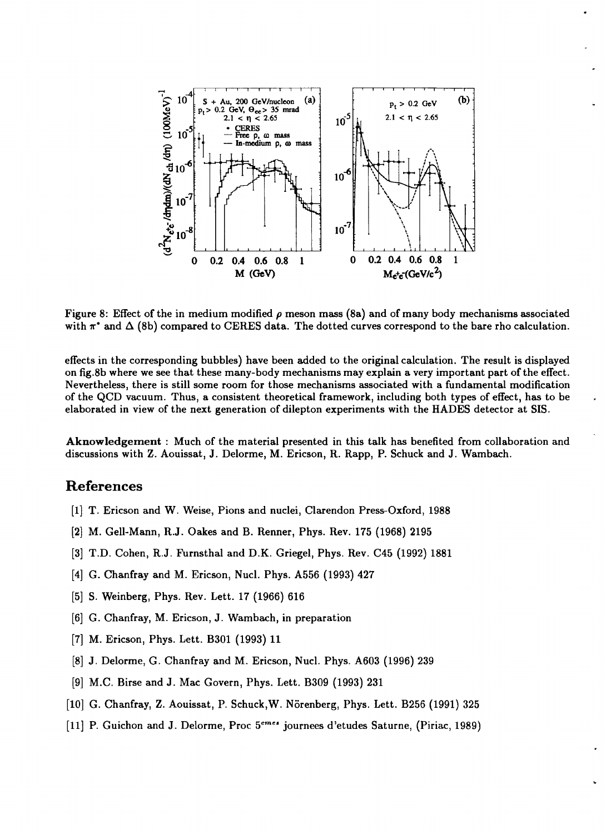

Figure 8: Effect of the in medium modified  $\rho$  meson mass (8a) and of many body mechanisms associated with  $\pi^*$  and  $\Delta$  (8b) compared to CERES data. The dotted curves correspond to the bare rho calculation.

effects in the corresponding bubbles) have been added to the original calculation. The result is displayed on fig.8b where we see that these many-body mechanisms may explain a very important part of the effect. Nevertheless, there is still some room for those mechanisms associated with a fundamental modification of the QCD vacuum. Thus, a consistent theoretical framework, including both types of effect, has to be elaborated in view of the next generation of dilepton experiments with the HADES detector at SIS.

Aknowledgement : Much of the material presented in this talk has benefited from collaboration and discussions with Z. Aouissat, J. Delorme, M. Ericson, R. Rapp, P. Schuck and J. Wambach.

# References

- [1] T. Ericson and W. Weise, Pions and nuclei, Clarendon Press-Oxford, 1988
- [2] M. Gell-Mann, R.J. Oakes and B. Renner, Phys. Rev. 175 (1968) 2195
- [3] T.D. Cohen, R.J. Furnsthal and D.K. Griegel, Phys. Rev. C45 (1992) 1881
- [4] G. Chanfray and M. Ericson, Nucl. Phys. A556 (1993) 427
- [5] S. Weinberg, Phys. Rev. Lett. 17 (1966) 616
- [6] G. Chanfray, M. Ericson, J. Wambach, in preparation
- [7] M. Ericson, Phys. Lett. B301 (1993) 11
- [8] J. Delorme, G. Chanfray and M. Ericson, Nucl. Phys. A603 (1996) 239
- [9] M.C. Birse and J. Mac Govern, Phys. Lett. B309 (1993) 231
- [10] G. Chanfray, Z. Aouissat, P. Schuck, W. Nörenberg, Phys. Lett. B256 (1991) 325
- [11] P. Guichon and J. Delorme, Proc 5<sup>emes</sup> journees d'etudes Saturne, (Piriac, 1989)